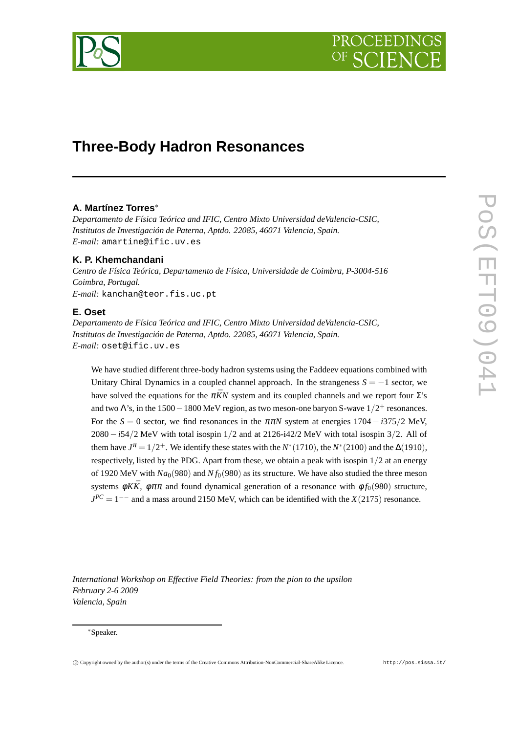

# **Three-Body Hadron Resonances**

# **A. Martínez Torres**<sup>∗</sup>

*Departamento de Física Teórica and IFIC, Centro Mixto Universidad deValencia-CSIC, Institutos de Investigación de Paterna, Aptdo. 22085, 46071 Valencia, Spain. E-mail:* amartine@ific.uv.es

# **K. P. Khemchandani**

*Centro de Física Teórica, Departamento de Física, Universidade de Coimbra, P-3004-516 Coimbra, Portugal. E-mail:* kanchan@teor.fis.uc.pt

# **E. Oset**

*Departamento de Física Teórica and IFIC, Centro Mixto Universidad deValencia-CSIC, Institutos de Investigación de Paterna, Aptdo. 22085, 46071 Valencia, Spain. E-mail:* oset@ific.uv.es

We have studied different three-body hadron systems using the Faddeev equations combined with Unitary Chiral Dynamics in a coupled channel approach. In the strangeness *S* = −1 sector, we have solved the equations for the  $\pi \bar{K}N$  system and its coupled channels and we report four  $\Sigma$ 's and two  $\Lambda$ 's, in the 1500  $-1800$  MeV region, as two meson-one baryon S-wave  $1/2^+$  resonances. For the  $S = 0$  sector, we find resonances in the  $\pi \pi N$  system at energies 1704 − *i*375/2 MeV, 2080 − *i*54/2 MeV with total isospin 1/2 and at 2126-i42/2 MeV with total isospin 3/2. All of them have  $J^{\pi} = 1/2^+$ . We identify these states with the *N*<sup>\*</sup>(1710), the *N*<sup>\*</sup>(2100) and the  $\Delta(1910)$ , respectively, listed by the PDG. Apart from these, we obtain a peak with isospin  $1/2$  at an energy of 1920 MeV with  $Na<sub>0</sub>(980)$  and  $N f<sub>0</sub>(980)$  as its structure. We have also studied the three meson systems  $\phi K\bar{K}$ ,  $\phi \pi \pi$  and found dynamical generation of a resonance with  $\phi f_0(980)$  structure,  $J^{PC} = 1^{--}$  and a mass around 2150 MeV, which can be identified with the *X*(2175) resonance.

*International Workshop on Effective Field Theories: from the pion to the upsilon February 2-6 2009 Valencia, Spain*

#### <sup>∗</sup>Speaker.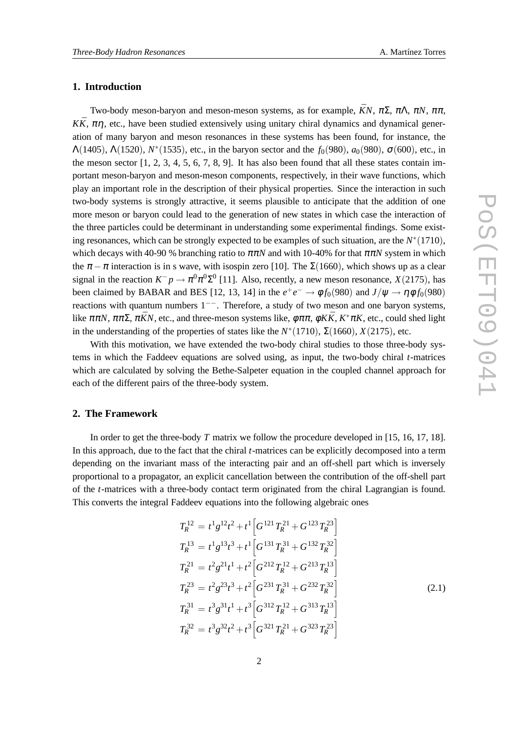## **1. Introduction**

Two-body meson-baryon and meson-meson systems, as for example,  $\bar{K}N$ ,  $\pi\Sigma$ ,  $\pi\Lambda$ ,  $\pi N$ ,  $\pi\pi$ ,  $K\bar{K}$ ,  $\pi\eta$ , etc., have been studied extensively using unitary chiral dynamics and dynamical generation of many baryon and meson resonances in these systems has been found, for instance, the  $\Lambda(1405)$ ,  $\Lambda(1520)$ ,  $N^*(1535)$ , etc., in the baryon sector and the  $f_0(980)$ ,  $a_0(980)$ ,  $\sigma(600)$ , etc., in the meson sector  $[1, 2, 3, 4, 5, 6, 7, 8, 9]$ . It has also been found that all these states contain important meson-baryon and meson-meson components, respectively, in their wave functions, which play an important role in the description of their physical properties. Since the interaction in such two-body systems is strongly attractive, it seems plausible to anticipate that the addition of one more meson or baryon could lead to the generation of new states in which case the interaction of the three particles could be determinant in understanding some experimental findings. Some existing resonances, which can be strongly expected to be examples of such situation, are the  $N^*(1710)$ , which decays with 40-90 % branching ratio to  $\pi \pi N$  and with 10-40% for that  $\pi \pi N$  system in which the  $\pi - \pi$  interaction is in s wave, with isospin zero [10]. The  $\Sigma(1660)$ , which shows up as a clear signal in the reaction  $K^-p \to \pi^0 \pi^0 \Sigma^0$  [11]. Also, recently, a new meson resonance, *X*(2175), has been claimed by BABAR and BES [12, 13, 14] in the  $e^+e^- \to \phi f_0(980)$  and  $J/\psi \to \eta \phi f_0(980)$ reactions with quantum numbers 1−−. Therefore, a study of two meson and one baryon systems, like  $\pi \pi N$ ,  $\pi \pi \Sigma$ ,  $\pi \bar{K} N$ , etc., and three-meson systems like,  $\phi \pi \pi$ ,  $\phi K \bar{K}$ ,  $K^* \pi K$ , etc., could shed light in the understanding of the properties of states like the  $N^*(1710)$ ,  $\Sigma(1660)$ ,  $X(2175)$ , etc.

With this motivation, we have extended the two-body chiral studies to those three-body systems in which the Faddeev equations are solved using, as input, the two-body chiral *t*-matrices which are calculated by solving the Bethe-Salpeter equation in the coupled channel approach for each of the different pairs of the three-body system.

# **2. The Framework**

In order to get the three-body *T* matrix we follow the procedure developed in [15, 16, 17, 18]. In this approach, due to the fact that the chiral *t*-matrices can be explicitly decomposed into a term depending on the invariant mass of the interacting pair and an off-shell part which is inversely proportional to a propagator, an explicit cancellation between the contribution of the off-shell part of the *t*-matrices with a three-body contact term originated from the chiral Lagrangian is found. This converts the integral Faddeev equations into the following algebraic ones

$$
T_R^{12} = t^1 g^{12} t^2 + t^1 \left[ G^{121} T_R^{21} + G^{123} T_R^{23} \right]
$$
  
\n
$$
T_R^{13} = t^1 g^{13} t^3 + t^1 \left[ G^{131} T_R^{31} + G^{132} T_R^{32} \right]
$$
  
\n
$$
T_R^{21} = t^2 g^{21} t^1 + t^2 \left[ G^{212} T_R^{12} + G^{213} T_R^{13} \right]
$$
  
\n
$$
T_R^{23} = t^2 g^{23} t^3 + t^2 \left[ G^{231} T_R^{31} + G^{232} T_R^{32} \right]
$$
  
\n
$$
T_R^{31} = t^3 g^{31} t^1 + t^3 \left[ G^{312} T_R^{12} + G^{313} T_R^{13} \right]
$$
  
\n
$$
T_R^{32} = t^3 g^{32} t^2 + t^3 \left[ G^{321} T_R^{21} + G^{323} T_R^{23} \right]
$$
  
\n(2.1)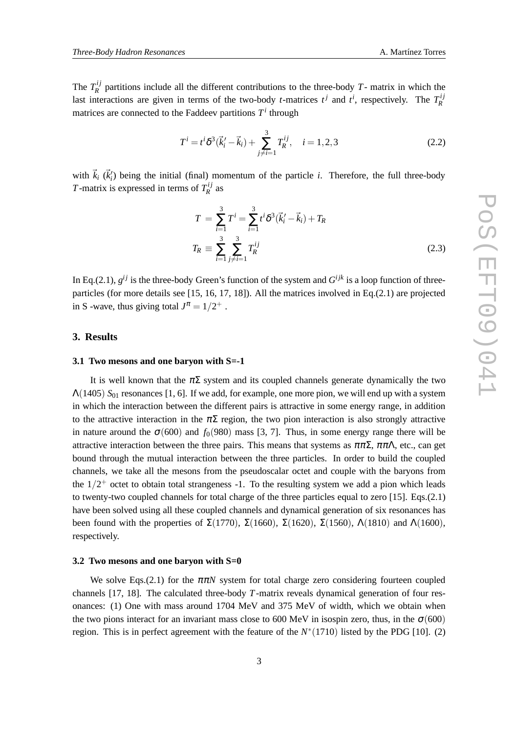The  $T_R^{ij}$  $R<sup>2</sup>$  partitions include all the different contributions to the three-body *T*- matrix in which the last interactions are given in terms of the two-body *t*-matrices  $t^j$  and  $t^i$ , respectively. The  $T_R^{ij}$ *R* matrices are connected to the Faddeev partitions  $T<sup>i</sup>$  through

$$
T^{i} = t^{i} \delta^{3}(\vec{k}_{i}^{\prime} - \vec{k}_{i}) + \sum_{j \neq i=1}^{3} T_{R}^{ij}, \quad i = 1, 2, 3
$$
 (2.2)

with  $\vec{k}_i$  ( $\vec{k}'_i$ ) being the initial (final) momentum of the particle *i*. Therefore, the full three-body *T*-matrix is expressed in terms of  $T_R^{ij}$  $\frac{dI}{R}$  as

$$
T = \sum_{i=1}^{3} T^{i} = \sum_{i=1}^{3} t^{i} \delta^{3}(\vec{k}_{i}^{\prime} - \vec{k}_{i}) + T_{R}
$$
  

$$
T_{R} \equiv \sum_{i=1}^{3} \sum_{j \neq i=1}^{3} T_{R}^{ij}
$$
(2.3)

In Eq.(2.1),  $g^{ij}$  is the three-body Green's function of the system and  $G^{ijk}$  is a loop function of threeparticles (for more details see [15, 16, 17, 18]). All the matrices involved in Eq.(2.1) are projected in S -wave, thus giving total  $J^{\pi} = 1/2^+$ .

## **3. Results**

#### **3.1 Two mesons and one baryon with S=-1**

It is well known that the  $\pi\Sigma$  system and its coupled channels generate dynamically the two Λ(1405) *S*<sup>01</sup> resonances [1, 6]. If we add, for example, one more pion, we will end up with a system in which the interaction between the different pairs is attractive in some energy range, in addition to the attractive interaction in the  $\pi\Sigma$  region, the two pion interaction is also strongly attractive in nature around the  $\sigma$ (600) and  $f_0$ (980) mass [3, 7]. Thus, in some energy range there will be attractive interaction between the three pairs. This means that systems as  $\pi \pi \Sigma$ ,  $\pi \pi \Lambda$ , etc., can get bound through the mutual interaction between the three particles. In order to build the coupled channels, we take all the mesons from the pseudoscalar octet and couple with the baryons from the  $1/2^+$  octet to obtain total strangeness -1. To the resulting system we add a pion which leads to twenty-two coupled channels for total charge of the three particles equal to zero [15]. Eqs.(2.1) have been solved using all these coupled channels and dynamical generation of six resonances has been found with the properties of  $\Sigma(1770)$ ,  $\Sigma(1660)$ ,  $\Sigma(1620)$ ,  $\Sigma(1560)$ ,  $\Lambda(1810)$  and  $\Lambda(1600)$ , respectively.

#### **3.2 Two mesons and one baryon with S=0**

We solve Eqs.(2.1) for the  $\pi \pi N$  system for total charge zero considering fourteen coupled channels [17, 18]. The calculated three-body *T*-matrix reveals dynamical generation of four resonances: (1) One with mass around 1704 MeV and 375 MeV of width, which we obtain when the two pions interact for an invariant mass close to 600 MeV in isospin zero, thus, in the  $\sigma$ (600) region. This is in perfect agreement with the feature of the  $N^*(1710)$  listed by the PDG [10]. (2)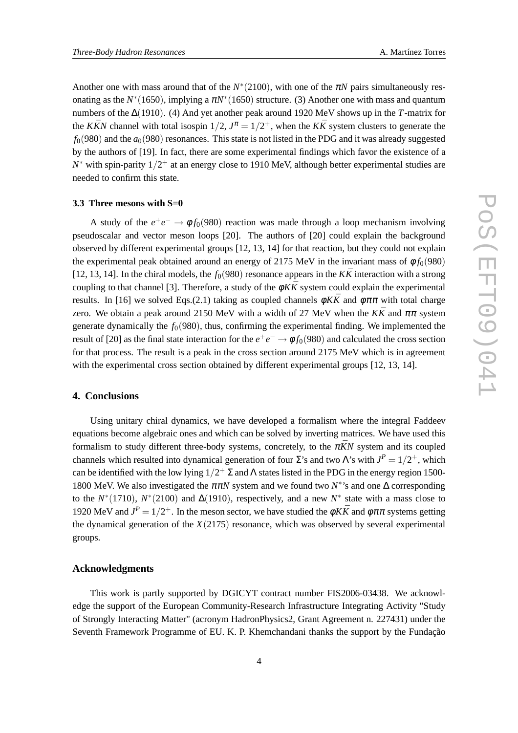Another one with mass around that of the  $N^*(2100)$ , with one of the  $\pi N$  pairs simultaneously resonating as the  $N^*(1650)$ , implying a  $\pi N^*(1650)$  structure. (3) Another one with mass and quantum numbers of the ∆(1910). (4) And yet another peak around 1920 MeV shows up in the *T*-matrix for the *KKN* channel with total isospin  $1/2$ ,  $J^{\pi} = 1/2^{+}$ , when the *KK* system clusters to generate the  $f<sub>0</sub>(980)$  and the  $a<sub>0</sub>(980)$  resonances. This state is not listed in the PDG and it was already suggested by the authors of [19]. In fact, there are some experimental findings which favor the existence of a *N*<sup>∗</sup> with spin-parity 1/2<sup>+</sup> at an energy close to 1910 MeV, although better experimental studies are needed to confirm this state.

#### **3.3 Three mesons with S=0**

A study of the  $e^+e^- \rightarrow \phi f_0(980)$  reaction was made through a loop mechanism involving pseudoscalar and vector meson loops [20]. The authors of [20] could explain the background observed by different experimental groups [12, 13, 14] for that reaction, but they could not explain the experimental peak obtained around an energy of 2175 MeV in the invariant mass of  $\phi f_0(980)$ [12, 13, 14]. In the chiral models, the  $f_0(980)$  resonance appears in the  $K\bar{K}$  interaction with a strong coupling to that channel [3]. Therefore, a study of the  $\phi K\bar{K}$  system could explain the experimental results. In [16] we solved Eqs.(2.1) taking as coupled channels  $\phi K\bar{K}$  and  $\phi \pi \pi$  with total charge zero. We obtain a peak around 2150 MeV with a width of 27 MeV when the  $K\bar{K}$  and  $\pi\pi$  system generate dynamically the  $f<sub>0</sub>(980)$ , thus, confirming the experimental finding. We implemented the result of [20] as the final state interaction for the  $e^+e^- \to \phi f_0(980)$  and calculated the cross section for that process. The result is a peak in the cross section around 2175 MeV which is in agreement with the experimental cross section obtained by different experimental groups [12, 13, 14].

# **4. Conclusions**

Using unitary chiral dynamics, we have developed a formalism where the integral Faddeev equations become algebraic ones and which can be solved by inverting matrices. We have used this formalism to study different three-body systems, concretely, to the  $\pi \bar{K}N$  system and its coupled channels which resulted into dynamical generation of four  $\Sigma$ 's and two  $\Lambda$ 's with  $J^P = 1/2^+$ , which can be identified with the low lying  $1/2^+$   $\Sigma$  and  $\Lambda$  states listed in the PDG in the energy region 1500-1800 MeV. We also investigated the  $\pi \pi N$  system and we found two  $N^*$ 's and one  $\Delta$  corresponding to the  $N^*(1710)$ ,  $N^*(2100)$  and  $\Delta(1910)$ , respectively, and a new  $N^*$  state with a mass close to 1920 MeV and  $J^P = 1/2^+$ . In the meson sector, we have studied the  $\phi K\bar{K}$  and  $\phi \pi \pi$  systems getting the dynamical generation of the  $X(2175)$  resonance, which was observed by several experimental groups.

### **Acknowledgments**

This work is partly supported by DGICYT contract number FIS2006-03438. We acknowledge the support of the European Community-Research Infrastructure Integrating Activity "Study of Strongly Interacting Matter" (acronym HadronPhysics2, Grant Agreement n. 227431) under the Seventh Framework Programme of EU. K. P. Khemchandani thanks the support by the Fundação